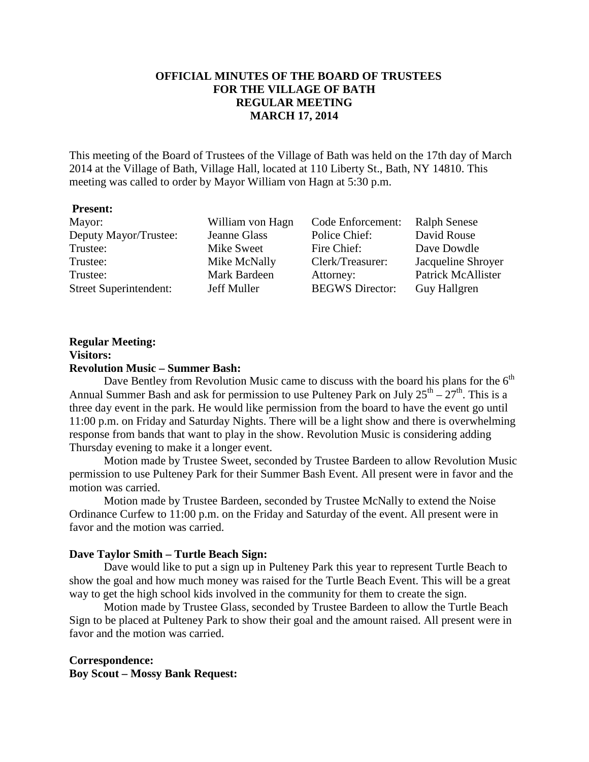## **OFFICIAL MINUTES OF THE BOARD OF TRUSTEES FOR THE VILLAGE OF BATH REGULAR MEETING MARCH 17, 2014**

This meeting of the Board of Trustees of the Village of Bath was held on the 17th day of March 2014 at the Village of Bath, Village Hall, located at 110 Liberty St., Bath, NY 14810. This meeting was called to order by Mayor William von Hagn at 5:30 p.m.

#### **Present:**

| Mayor:                        | William von Hagn | Code Enforcement:      | <b>Ralph Senese</b>       |
|-------------------------------|------------------|------------------------|---------------------------|
| Deputy Mayor/Trustee:         | Jeanne Glass     | Police Chief:          | David Rouse               |
| Trustee:                      | Mike Sweet       | Fire Chief:            | Dave Dowdle               |
| Trustee:                      | Mike McNally     | Clerk/Treasurer:       | Jacqueline Shroyer        |
| Trustee:                      | Mark Bardeen     | Attorney:              | <b>Patrick McAllister</b> |
| <b>Street Superintendent:</b> | Jeff Muller      | <b>BEGWS</b> Director: | <b>Guy Hallgren</b>       |

### **Regular Meeting: Visitors: Revolution Music – Summer Bash:**

Dave Bentley from Revolution Music came to discuss with the board his plans for the  $6<sup>th</sup>$ Annual Summer Bash and ask for permission to use Pulteney Park on July  $25^{th} - 27^{th}$ . This is a three day event in the park. He would like permission from the board to have the event go until 11:00 p.m. on Friday and Saturday Nights. There will be a light show and there is overwhelming response from bands that want to play in the show. Revolution Music is considering adding Thursday evening to make it a longer event.

 Motion made by Trustee Sweet, seconded by Trustee Bardeen to allow Revolution Music permission to use Pulteney Park for their Summer Bash Event. All present were in favor and the motion was carried.

 Motion made by Trustee Bardeen, seconded by Trustee McNally to extend the Noise Ordinance Curfew to 11:00 p.m. on the Friday and Saturday of the event. All present were in favor and the motion was carried.

#### **Dave Taylor Smith – Turtle Beach Sign:**

 Dave would like to put a sign up in Pulteney Park this year to represent Turtle Beach to show the goal and how much money was raised for the Turtle Beach Event. This will be a great way to get the high school kids involved in the community for them to create the sign.

 Motion made by Trustee Glass, seconded by Trustee Bardeen to allow the Turtle Beach Sign to be placed at Pulteney Park to show their goal and the amount raised. All present were in favor and the motion was carried.

**Correspondence: Boy Scout – Mossy Bank Request:**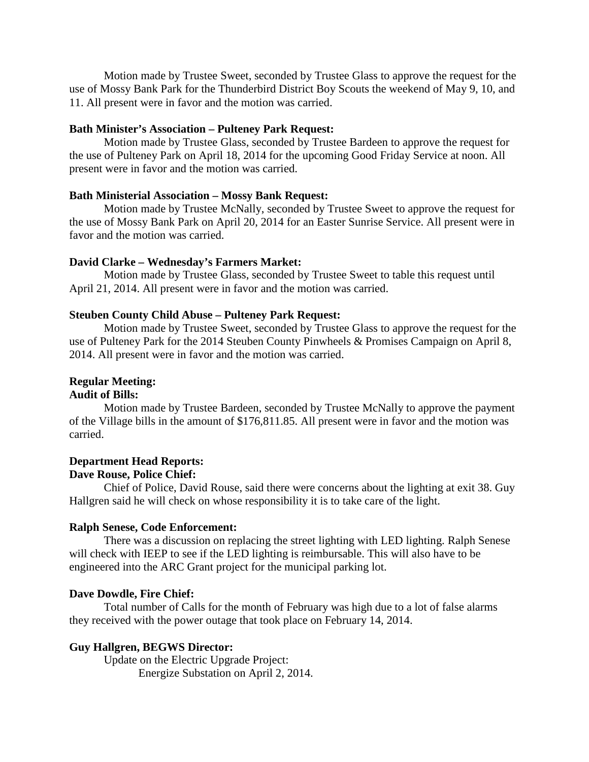Motion made by Trustee Sweet, seconded by Trustee Glass to approve the request for the use of Mossy Bank Park for the Thunderbird District Boy Scouts the weekend of May 9, 10, and 11. All present were in favor and the motion was carried.

#### **Bath Minister's Association – Pulteney Park Request:**

 Motion made by Trustee Glass, seconded by Trustee Bardeen to approve the request for the use of Pulteney Park on April 18, 2014 for the upcoming Good Friday Service at noon. All present were in favor and the motion was carried.

### **Bath Ministerial Association – Mossy Bank Request:**

Motion made by Trustee McNally, seconded by Trustee Sweet to approve the request for the use of Mossy Bank Park on April 20, 2014 for an Easter Sunrise Service. All present were in favor and the motion was carried.

### **David Clarke – Wednesday's Farmers Market:**

 Motion made by Trustee Glass, seconded by Trustee Sweet to table this request until April 21, 2014. All present were in favor and the motion was carried.

## **Steuben County Child Abuse – Pulteney Park Request:**

 Motion made by Trustee Sweet, seconded by Trustee Glass to approve the request for the use of Pulteney Park for the 2014 Steuben County Pinwheels & Promises Campaign on April 8, 2014. All present were in favor and the motion was carried.

## **Regular Meeting:**

#### **Audit of Bills:**

Motion made by Trustee Bardeen, seconded by Trustee McNally to approve the payment of the Village bills in the amount of \$176,811.85. All present were in favor and the motion was carried.

### **Department Head Reports: Dave Rouse, Police Chief:**

Chief of Police, David Rouse, said there were concerns about the lighting at exit 38. Guy Hallgren said he will check on whose responsibility it is to take care of the light.

## **Ralph Senese, Code Enforcement:**

There was a discussion on replacing the street lighting with LED lighting. Ralph Senese will check with IEEP to see if the LED lighting is reimbursable. This will also have to be engineered into the ARC Grant project for the municipal parking lot.

## **Dave Dowdle, Fire Chief:**

Total number of Calls for the month of February was high due to a lot of false alarms they received with the power outage that took place on February 14, 2014.

## **Guy Hallgren, BEGWS Director:**

Update on the Electric Upgrade Project: Energize Substation on April 2, 2014.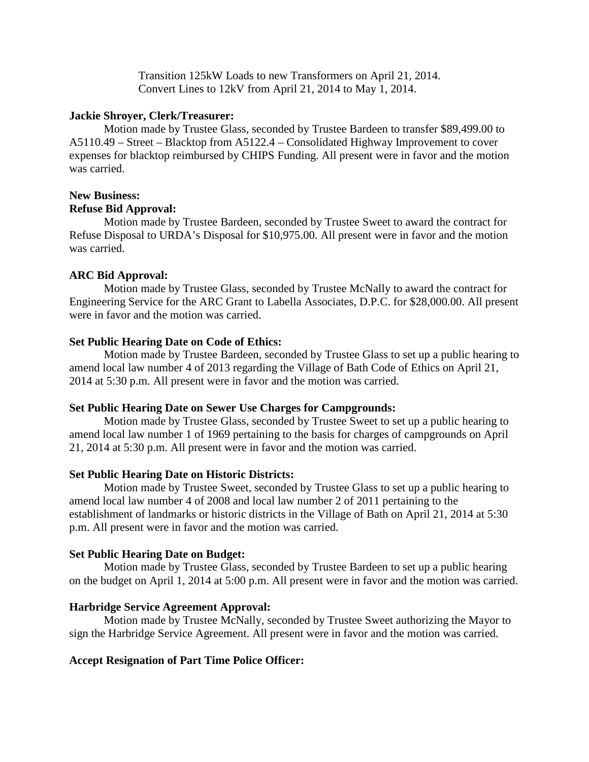Transition 125kW Loads to new Transformers on April 21, 2014. Convert Lines to 12kV from April 21, 2014 to May 1, 2014.

### **Jackie Shroyer, Clerk/Treasurer:**

Motion made by Trustee Glass, seconded by Trustee Bardeen to transfer \$89,499.00 to A5110.49 – Street – Blacktop from A5122.4 – Consolidated Highway Improvement to cover expenses for blacktop reimbursed by CHIPS Funding. All present were in favor and the motion was carried.

# **New Business:**

## **Refuse Bid Approval:**

Motion made by Trustee Bardeen, seconded by Trustee Sweet to award the contract for Refuse Disposal to URDA's Disposal for \$10,975.00. All present were in favor and the motion was carried.

## **ARC Bid Approval:**

Motion made by Trustee Glass, seconded by Trustee McNally to award the contract for Engineering Service for the ARC Grant to Labella Associates, D.P.C. for \$28,000.00. All present were in favor and the motion was carried.

## **Set Public Hearing Date on Code of Ethics:**

Motion made by Trustee Bardeen, seconded by Trustee Glass to set up a public hearing to amend local law number 4 of 2013 regarding the Village of Bath Code of Ethics on April 21, 2014 at 5:30 p.m. All present were in favor and the motion was carried.

# **Set Public Hearing Date on Sewer Use Charges for Campgrounds:**

Motion made by Trustee Glass, seconded by Trustee Sweet to set up a public hearing to amend local law number 1 of 1969 pertaining to the basis for charges of campgrounds on April 21, 2014 at 5:30 p.m. All present were in favor and the motion was carried.

## **Set Public Hearing Date on Historic Districts:**

Motion made by Trustee Sweet, seconded by Trustee Glass to set up a public hearing to amend local law number 4 of 2008 and local law number 2 of 2011 pertaining to the establishment of landmarks or historic districts in the Village of Bath on April 21, 2014 at 5:30 p.m. All present were in favor and the motion was carried.

# **Set Public Hearing Date on Budget:**

Motion made by Trustee Glass, seconded by Trustee Bardeen to set up a public hearing on the budget on April 1, 2014 at 5:00 p.m. All present were in favor and the motion was carried.

# **Harbridge Service Agreement Approval:**

Motion made by Trustee McNally, seconded by Trustee Sweet authorizing the Mayor to sign the Harbridge Service Agreement. All present were in favor and the motion was carried.

# **Accept Resignation of Part Time Police Officer:**